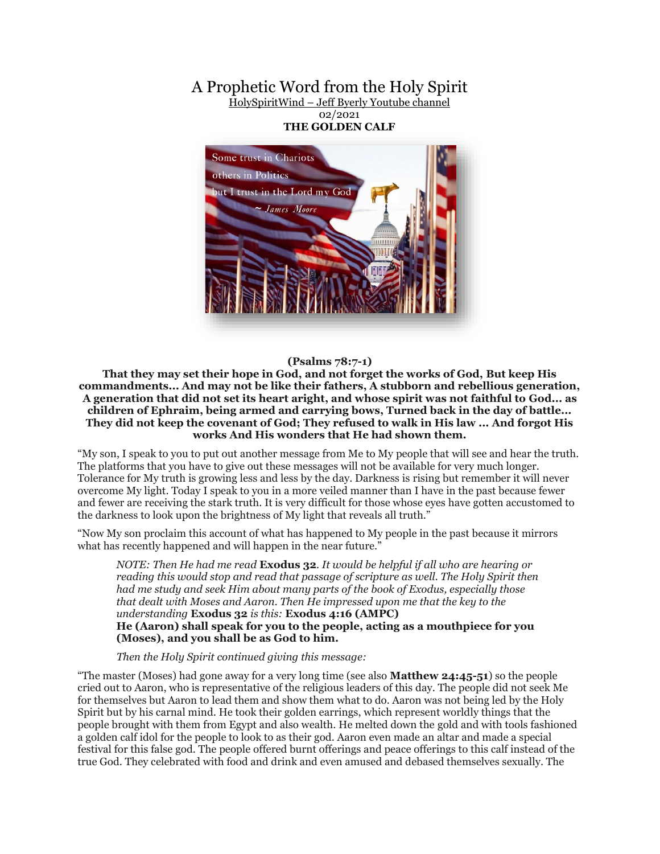## A Prophetic Word from the Holy Spirit HolySpiritWind – [Jeff Byerly Youtube channel](https://www.youtube.com/channel/UCFwjXmm9RN90_d2RbhI2vHA)

02/2021 **THE GOLDEN CALF**



## **(Psalms 78:7-1)**

**That they may set their hope in God, and not forget the works of God, But keep His commandments... And may not be like their fathers, A stubborn and rebellious generation, A generation that did not set its heart aright, and whose spirit was not faithful to God... as children of Ephraim, being armed and carrying bows, Turned back in the day of battle... They did not keep the covenant of God; They refused to walk in His law ... And forgot His works And His wonders that He had shown them.**

"My son, I speak to you to put out another message from Me to My people that will see and hear the truth. The platforms that you have to give out these messages will not be available for very much longer. Tolerance for My truth is growing less and less by the day. Darkness is rising but remember it will never overcome My light. Today I speak to you in a more veiled manner than I have in the past because fewer and fewer are receiving the stark truth. It is very difficult for those whose eyes have gotten accustomed to the darkness to look upon the brightness of My light that reveals all truth."

"Now My son proclaim this account of what has happened to My people in the past because it mirrors what has recently happened and will happen in the near future."

*NOTE: Then He had me read* **Exodus 32***. It would be helpful if all who are hearing or reading this would stop and read that passage of scripture as well. The Holy Spirit then had me study and seek Him about many parts of the book of Exodus, especially those that dealt with Moses and Aaron. Then He impressed upon me that the key to the understanding* **Exodus 32** *is this:* **Exodus 4:16 (AMPC) He (Aaron) shall speak for you to the people, acting as a mouthpiece for you (Moses), and you shall be as God to him.**

 *Then the Holy Spirit continued giving this message:*

"The master (Moses) had gone away for a very long time (see also **Matthew 24:45-51**) so the people cried out to Aaron, who is representative of the religious leaders of this day. The people did not seek Me for themselves but Aaron to lead them and show them what to do. Aaron was not being led by the Holy Spirit but by his carnal mind. He took their golden earrings, which represent worldly things that the people brought with them from Egypt and also wealth. He melted down the gold and with tools fashioned a golden calf idol for the people to look to as their god. Aaron even made an altar and made a special festival for this false god. The people offered burnt offerings and peace offerings to this calf instead of the true God. They celebrated with food and drink and even amused and debased themselves sexually. The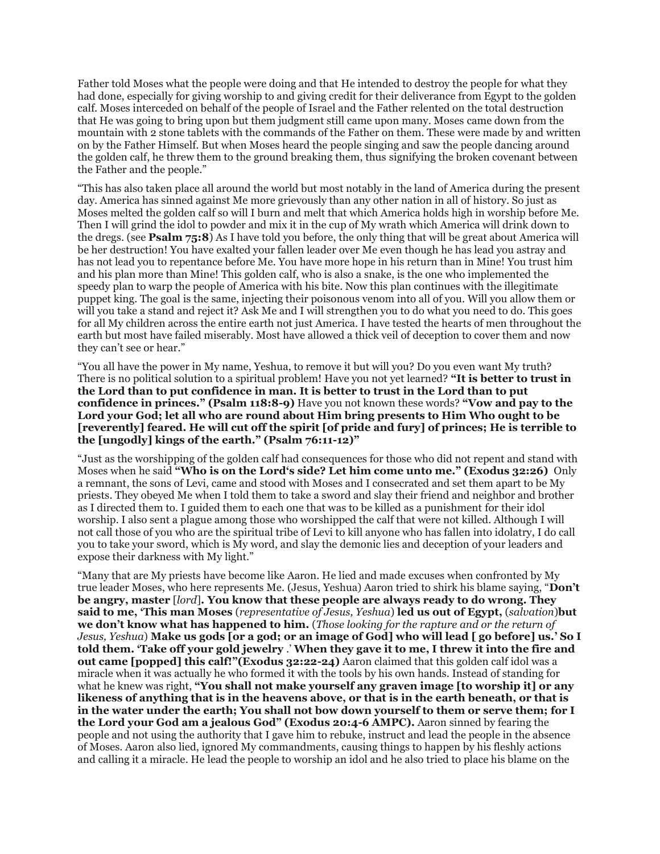Father told Moses what the people were doing and that He intended to destroy the people for what they had done, especially for giving worship to and giving credit for their deliverance from Egypt to the golden calf. Moses interceded on behalf of the people of Israel and the Father relented on the total destruction that He was going to bring upon but them judgment still came upon many. Moses came down from the mountain with 2 stone tablets with the commands of the Father on them. These were made by and written on by the Father Himself. But when Moses heard the people singing and saw the people dancing around the golden calf, he threw them to the ground breaking them, thus signifying the broken covenant between the Father and the people."

"This has also taken place all around the world but most notably in the land of America during the present day. America has sinned against Me more grievously than any other nation in all of history. So just as Moses melted the golden calf so will I burn and melt that which America holds high in worship before Me. Then I will grind the idol to powder and mix it in the cup of My wrath which America will drink down to the dregs. (see **Psalm 75:8**) As I have told you before, the only thing that will be great about America will be her destruction! You have exalted your fallen leader over Me even though he has lead you astray and has not lead you to repentance before Me. You have more hope in his return than in Mine! You trust him and his plan more than Mine! This golden calf, who is also a snake, is the one who implemented the speedy plan to warp the people of America with his bite. Now this plan continues with the illegitimate puppet king. The goal is the same, injecting their poisonous venom into all of you. Will you allow them or will you take a stand and reject it? Ask Me and I will strengthen you to do what you need to do. This goes for all My children across the entire earth not just America. I have tested the hearts of men throughout the earth but most have failed miserably. Most have allowed a thick veil of deception to cover them and now they can't see or hear."

"You all have the power in My name, Yeshua, to remove it but will you? Do you even want My truth? There is no political solution to a spiritual problem! Have you not yet learned? **"It is better to trust in the Lord than to put confidence in man. It is better to trust in the Lord than to put confidence in princes." (Psalm 118:8-9)** Have you not known these words? **"Vow and pay to the Lord your God; let all who are round about Him bring presents to Him Who ought to be [reverently] feared. He will cut off the spirit [of pride and fury] of princes; He is terrible to the [ungodly] kings of the earth." (Psalm 76:11-12)"**

"Just as the worshipping of the golden calf had consequences for those who did not repent and stand with Moses when he said **"Who is on the Lord's side? Let him come unto me." (Exodus 32:26)** Only a remnant, the sons of Levi, came and stood with Moses and I consecrated and set them apart to be My priests. They obeyed Me when I told them to take a sword and slay their friend and neighbor and brother as I directed them to. I guided them to each one that was to be killed as a punishment for their idol worship. I also sent a plague among those who worshipped the calf that were not killed. Although I will not call those of you who are the spiritual tribe of Levi to kill anyone who has fallen into idolatry, I do call you to take your sword, which is My word, and slay the demonic lies and deception of your leaders and expose their darkness with My light."

"Many that are My priests have become like Aaron. He lied and made excuses when confronted by My true leader Moses, who here represents Me. (Jesus, Yeshua) Aaron tried to shirk his blame saying, "**Don't be angry, master** [*lord*]**. You know that these people are always ready to do wrong. They said to me, 'This man Moses** (*representative of Jesus, Yeshua*) **led us out of Egypt,** (*salvation*)**but we don't know what has happened to him.** (*Those looking for the rapture and or the return of Jesus, Yeshua*) **Make us gods [or a god; or an image of God] who will lead [ go before] us.' So I told them. 'Take off your gold jewelry** .' **When they gave it to me, I threw it into the fire and out came [popped] this calf!"(Exodus 32:22-24)** Aaron claimed that this golden calf idol was a miracle when it was actually he who formed it with the tools by his own hands. Instead of standing for what he knew was right, **"You shall not make yourself any graven image [to worship it] or any likeness of anything that is in the heavens above, or that is in the earth beneath, or that is in the water under the earth; You shall not bow down yourself to them or serve them; for I the Lord your God am a jealous God" (Exodus 20:4-6 AMPC).** Aaron sinned by fearing the people and not using the authority that I gave him to rebuke, instruct and lead the people in the absence of Moses. Aaron also lied, ignored My commandments, causing things to happen by his fleshly actions and calling it a miracle. He lead the people to worship an idol and he also tried to place his blame on the